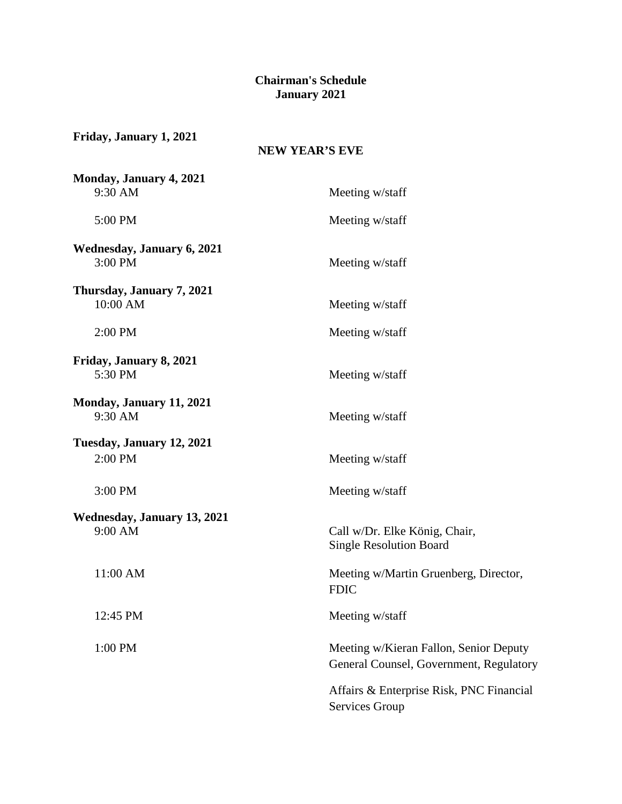## **Chairman's Schedule January 2021**

| Friday, January 1, 2021<br><b>NEW YEAR'S EVE</b> |                                                                                   |  |
|--------------------------------------------------|-----------------------------------------------------------------------------------|--|
| Monday, January 4, 2021<br>9:30 AM               | Meeting w/staff                                                                   |  |
| 5:00 PM                                          | Meeting w/staff                                                                   |  |
| <b>Wednesday, January 6, 2021</b><br>3:00 PM     | Meeting w/staff                                                                   |  |
| Thursday, January 7, 2021<br>10:00 AM            | Meeting w/staff                                                                   |  |
| 2:00 PM                                          | Meeting w/staff                                                                   |  |
| Friday, January 8, 2021<br>5:30 PM               | Meeting w/staff                                                                   |  |
| Monday, January 11, 2021<br>9:30 AM              | Meeting w/staff                                                                   |  |
| Tuesday, January 12, 2021                        |                                                                                   |  |
| 2:00 PM                                          | Meeting w/staff                                                                   |  |
| 3:00 PM                                          | Meeting w/staff                                                                   |  |
| Wednesday, January 13, 2021<br>9:00 AM           | Call w/Dr. Elke König, Chair,<br><b>Single Resolution Board</b>                   |  |
| 11:00 AM                                         | Meeting w/Martin Gruenberg, Director,<br><b>FDIC</b>                              |  |
| 12:45 PM                                         | Meeting w/staff                                                                   |  |
| 1:00 PM                                          | Meeting w/Kieran Fallon, Senior Deputy<br>General Counsel, Government, Regulatory |  |
|                                                  | Affairs & Enterprise Risk, PNC Financial<br>Services Group                        |  |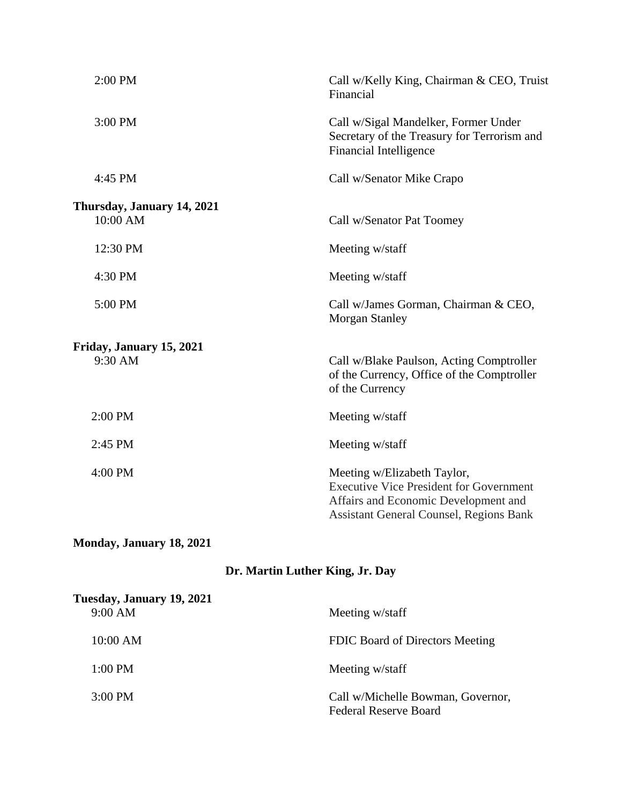| 2:00 PM                    | Call w/Kelly King, Chairman & CEO, Truist<br>Financial                                                                                                                  |
|----------------------------|-------------------------------------------------------------------------------------------------------------------------------------------------------------------------|
| 3:00 PM                    | Call w/Sigal Mandelker, Former Under<br>Secretary of the Treasury for Terrorism and<br>Financial Intelligence                                                           |
| 4:45 PM                    | Call w/Senator Mike Crapo                                                                                                                                               |
| Thursday, January 14, 2021 |                                                                                                                                                                         |
| 10:00 AM                   | Call w/Senator Pat Toomey                                                                                                                                               |
| 12:30 PM                   | Meeting w/staff                                                                                                                                                         |
| 4:30 PM                    | Meeting w/staff                                                                                                                                                         |
| 5:00 PM                    | Call w/James Gorman, Chairman & CEO,<br><b>Morgan Stanley</b>                                                                                                           |
| Friday, January 15, 2021   |                                                                                                                                                                         |
| 9:30 AM                    | Call w/Blake Paulson, Acting Comptroller<br>of the Currency, Office of the Comptroller<br>of the Currency                                                               |
| 2:00 PM                    | Meeting w/staff                                                                                                                                                         |
| 2:45 PM                    | Meeting w/staff                                                                                                                                                         |
| 4:00 PM                    | Meeting w/Elizabeth Taylor,<br><b>Executive Vice President for Government</b><br>Affairs and Economic Development and<br><b>Assistant General Counsel, Regions Bank</b> |

## **Monday, January 18, 2021**

## **Dr. Martin Luther King, Jr. Day**

| Tuesday, January 19, 2021<br>9:00 AM | Meeting w/staff                                                   |
|--------------------------------------|-------------------------------------------------------------------|
|                                      |                                                                   |
| 10:00 AM                             | FDIC Board of Directors Meeting                                   |
| $1:00$ PM                            | Meeting w/staff                                                   |
| $3:00 \text{ PM}$                    | Call w/Michelle Bowman, Governor,<br><b>Federal Reserve Board</b> |